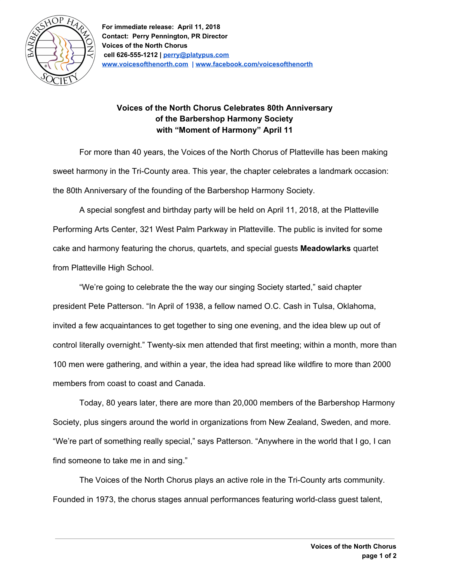

## **Voices of the North Chorus Celebrates 80th Anniversary of the Barbershop Harmony Society with "Moment of Harmony" April 11**

For more than 40 years, the Voices of the North Chorus of Platteville has been making sweet harmony in the Tri-County area. This year, the chapter celebrates a landmark occasion: the 80th Anniversary of the founding of the Barbershop Harmony Society.

A special songfest and birthday party will be held on April 11, 2018, at the Platteville Performing Arts Center, 321 West Palm Parkway in Platteville. The public is invited for some cake and harmony featuring the chorus, quartets, and special guests **Meadowlarks** quartet from Platteville High School.

"We're going to celebrate the the way our singing Society started," said chapter president Pete Patterson. "In April of 1938, a fellow named O.C. Cash in Tulsa, Oklahoma, invited a few acquaintances to get together to sing one evening, and the idea blew up out of control literally overnight." Twenty-six men attended that first meeting; within a month, more than 100 men were gathering, and within a year, the idea had spread like wildfire to more than 2000 members from coast to coast and Canada.

Today, 80 years later, there are more than 20,000 members of the Barbershop Harmony Society, plus singers around the world in organizations from New Zealand, Sweden, and more. "We're part of something really special," says Patterson. "Anywhere in the world that I go, I can find someone to take me in and sing."

The Voices of the North Chorus plays an active role in the Tri-County arts community. Founded in 1973, the chorus stages annual performances featuring world-class guest talent,